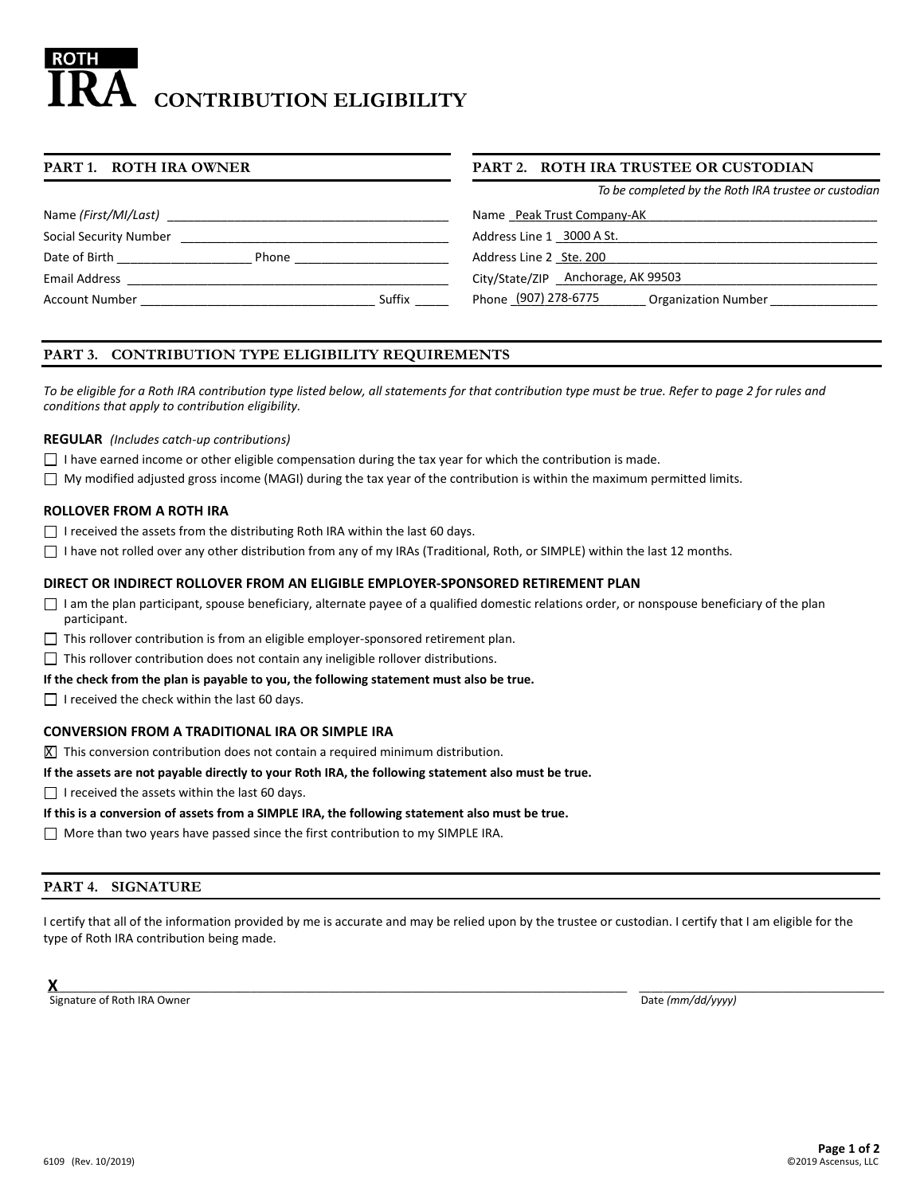# **CONTRIBUTION ELIGIBILITY**

#### **PART 1. ROTH IRA OWNER PART 2. ROTH IRA TRUSTEE OR CUSTODIAN**

|                                 | To be completed by the Roth IRA trustee or custodian |
|---------------------------------|------------------------------------------------------|
| Name (First/MI/Last)            | Name Peak Trust Company-AK                           |
| Social Security Number          | Address Line 1 3000 A St.                            |
| Date of Birth<br>Phone          | Address Line 2 Ste. 200                              |
| Email Address                   | City/State/ZIP Anchorage, AK 99503                   |
| Suffix<br><b>Account Number</b> | Phone (907) 278-6775<br><b>Organization Number</b>   |

# **PART 3. CONTRIBUTION TYPE ELIGIBILITY REQUIREMENTS**

*To be eligible for a Roth IRA contribution type listed below, all statements for that contribution type must be true. Refer to page 2 for rules and conditions that apply to contribution eligibility.*

#### **REGULAR** *(Includes catch-up contributions)*

- $\Box$  I have earned income or other eligible compensation during the tax year for which the contribution is made.
- $\Box$  My modified adjusted gross income (MAGI) during the tax year of the contribution is within the maximum permitted limits.

### **ROLLOVER FROM A ROTH IRA**

- $\Box$  I received the assets from the distributing Roth IRA within the last 60 days.
- $\Box$  I have not rolled over any other distribution from any of my IRAs (Traditional, Roth, or SIMPLE) within the last 12 months.

### **DIRECT OR INDIRECT ROLLOVER FROM AN ELIGIBLE EMPLOYER-SPONSORED RETIREMENT PLAN**

- $\Box$  I am the plan participant, spouse beneficiary, alternate payee of a qualified domestic relations order, or nonspouse beneficiary of the plan participant.
- $\Box$  This rollover contribution is from an eligible employer-sponsored retirement plan.
- $\Box$  This rollover contribution does not contain any ineligible rollover distributions.

#### **If the check from the plan is payable to you, the following statement must also be true.**

 $\Box$  I received the check within the last 60 days.

### **CONVERSION FROM A TRADITIONAL IRA OR SIMPLE IRA**

 $\overline{X}$  This conversion contribution does not contain a required minimum distribution.

#### **If the assets are not payable directly to your Roth IRA, the following statement also must be true.**

 $\Box$  I received the assets within the last 60 days.

#### **If this is a conversion of assets from a SIMPLE IRA, the following statement also must be true.**

 $\Box$  More than two years have passed since the first contribution to my SIMPLE IRA.

### **PART 4. SIGNATURE**

I certify that all of the information provided by me is accurate and may be relied upon by the trustee or custodian. I certify that I am eligible for the type of Roth IRA contribution being made.

 ${\sf X}$  , and the contribution of the contribution of the contribution of the contribution of the contribution of the contribution of the contribution of the contribution of the contribution of the contribution of the cont **X**

Signature of Roth IRA Owner **Date** *(mm/dd/yyyy***) Date** *(mm/dd/yyyy***)**